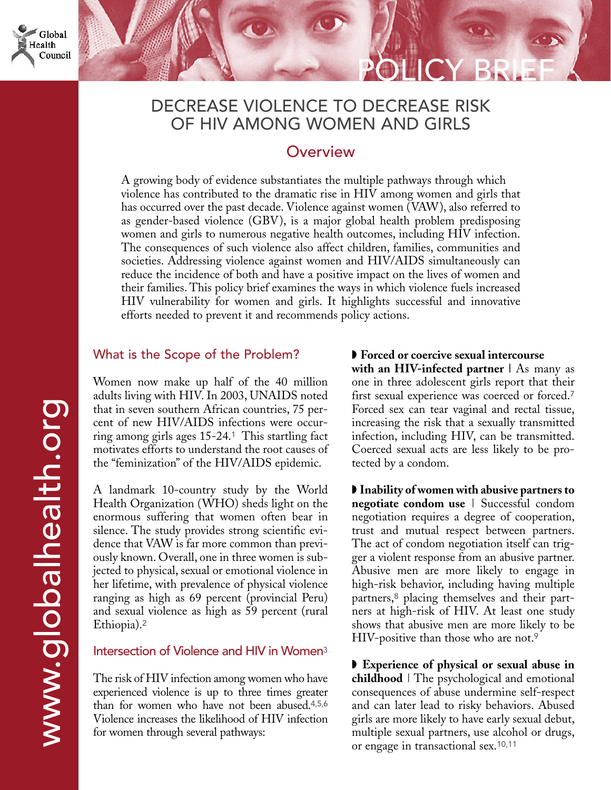# DECREASE VIOLENCE TO DECREASE RISK OF HIV AMONG WOMEN AND GIRLS

## **Overview**

A growing body of evidence substantiates the multiple pathways through which violence has contributed to the dramatic rise in HIV among women and girls that has occurred over the past decade. Violence against women (VAW), also referred to as gender-based violence (GBV), is a major global health problem predisposing women and girls to numerous negative health outcomes, including HIV infection. The consequences of such violence also affect children, families, communities and societies. Addressing violence against women and HIV/AIDS simultaneously can reduce the incidence of both and have a positive impact on the lives of women and their families. This policy brief examines the ways in which violence fuels increased HIV vulnerability for women and girls. It highlights successful and innovative efforts needed to prevent it and recommends policy actions.

### What is the Scope of the Problem?

Women now make up half of the 40 million adults living with HIV. In 2003, UNAIDS noted that in seven southern African countries, 75 percent of new HIV/AIDS infections were occurring among girls ages 15-24.<sup>1</sup> This startling fact motivates efforts to understand the root causes of the "feminization" of the HIV/AIDS epidemic.

A landmark 10-country study by the World Health Organization (WHO) sheds light on the enormous suffering that women often bear in silence. The study provides strong scientific evidence that VAW is far more common than previously known. Overall, one in three women is subjected to physical, sexual or emotional violence in her lifetime, with prevalence of physical violence ranging as high as 69 percent (provincial Peru) and sexual violence as high as 59 percent (rural Ethiopia).<sup>2</sup>

#### Intersection of Violence and HIV in Women<sup>3</sup>

The risk of HIV infection among women who have experienced violence is up to three times greater than for women who have not been abused.4,5,6 Violence increases the likelihood of HIV infection for women through several pathways:

◗ **Forced or coercive sexual intercourse with an HIV-infected partner |** As many as one in three adolescent girls report that their first sexual experience was coerced or forced.<sup>7</sup> Forced sex can tear vaginal and rectal tissue, increasing the risk that a sexually transmitted infection, including HIV, can be transmitted. Coerced sexual acts are less likely to be protected by a condom.

POLICY BRIEF

◗ **Inability of women with abusive partners to negotiate condom use** | Successful condom negotiation requires a degree of cooperation, trust and mutual respect between partners. The act of condom negotiation itself can trigger a violent response from an abusive partner. Abusive men are more likely to engage in high-risk behavior, including having multiple partners,<sup>8</sup> placing themselves and their partners at high-risk of HIV. At least one study shows that abusive men are more likely to be HIV-positive than those who are not.<sup>9</sup>

◗ **Experience of physical or sexual abuse in childhood** | The psychological and emotional consequences of abuse undermine self-respect and can later lead to risky behaviors. Abused girls are more likely to have early sexual debut, multiple sexual partners, use alcohol or drugs, or engage in transactional sex.10,11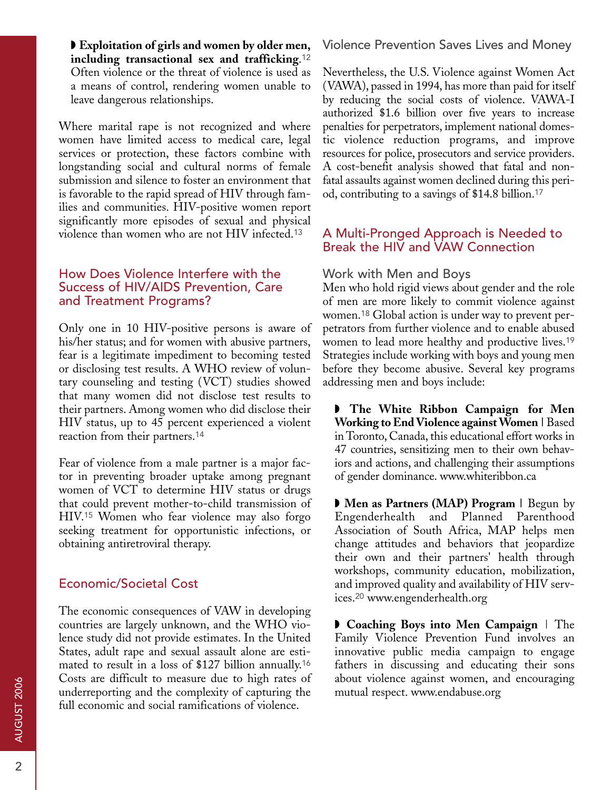◗ **Exploitation of girls and women by older men, including transactional sex and trafficking**.<sup>12</sup> Often violence or the threat of violence is used as a means of control, rendering women unable to leave dangerous relationships.

Where marital rape is not recognized and where women have limited access to medical care, legal services or protection, these factors combine with longstanding social and cultural norms of female submission and silence to foster an environment that is favorable to the rapid spread of HIV through families and communities. HIV-positive women report significantly more episodes of sexual and physical violence than women who are not HIV infected.<sup>13</sup>

#### How Does Violence Interfere with the Success of HIV/AIDS Prevention, Care and Treatment Programs?

Only one in 10 HIV-positive persons is aware of his/her status; and for women with abusive partners, fear is a legitimate impediment to becoming tested or disclosing test results. A WHO review of voluntary counseling and testing (VCT) studies showed that many women did not disclose test results to their partners. Among women who did disclose their HIV status, up to 45 percent experienced a violent reaction from their partners.<sup>14</sup>

Fear of violence from a male partner is a major factor in preventing broader uptake among pregnant women of VCT to determine HIV status or drugs that could prevent mother-to-child transmission of HIV.<sup>15</sup> Women who fear violence may also forgo seeking treatment for opportunistic infections, or obtaining antiretroviral therapy.

#### Economic/Societal Cost

The economic consequences of VAW in developing countries are largely unknown, and the WHO violence study did not provide estimates. In the United States, adult rape and sexual assault alone are estimated to result in a loss of \$127 billion annually.<sup>16</sup> Costs are difficult to measure due to high rates of underreporting and the complexity of capturing the full economic and social ramifications of violence.

Violence Prevention Saves Lives and Money

Nevertheless, the U.S. Violence against Women Act (VAWA), passed in 1994, has more than paid for itself by reducing the social costs of violence. VAWA-I authorized \$1.6 billion over five years to increase penalties for perpetrators, implement national domestic violence reduction programs, and improve resources for police, prosecutors and service providers. A cost-benefit analysis showed that fatal and nonfatal assaults against women declined during this period, contributing to a savings of \$14.8 billion.<sup>17</sup>

### A Multi-Pronged Approach is Needed to Break the HIV and VAW Connection

#### Work with Men and Boys

Men who hold rigid views about gender and the role of men are more likely to commit violence against women.<sup>18</sup> Global action is under way to prevent perpetrators from further violence and to enable abused women to lead more healthy and productive lives.<sup>19</sup> Strategies include working with boys and young men before they become abusive. Several key programs addressing men and boys include:

◗ **The White Ribbon Campaign for Men Working to End Violence against Women |** Based in Toronto, Canada, this educational effort works in 47 countries, sensitizing men to their own behaviors and actions, and challenging their assumptions of gender dominance. www.whiteribbon.ca

◗ **Men as Partners (MAP) Program |** Begun by Engenderhealth and Planned Parenthood Association of South Africa, MAP helps men change attitudes and behaviors that jeopardize their own and their partners' health through workshops, community education, mobilization, and improved quality and availability of HIV services.<sup>20</sup> www.engenderhealth.org

◗ **Coaching Boys into Men Campaign** | The Family Violence Prevention Fund involves an innovative public media campaign to engage fathers in discussing and educating their sons about violence against women, and encouraging mutual respect. www.endabuse.org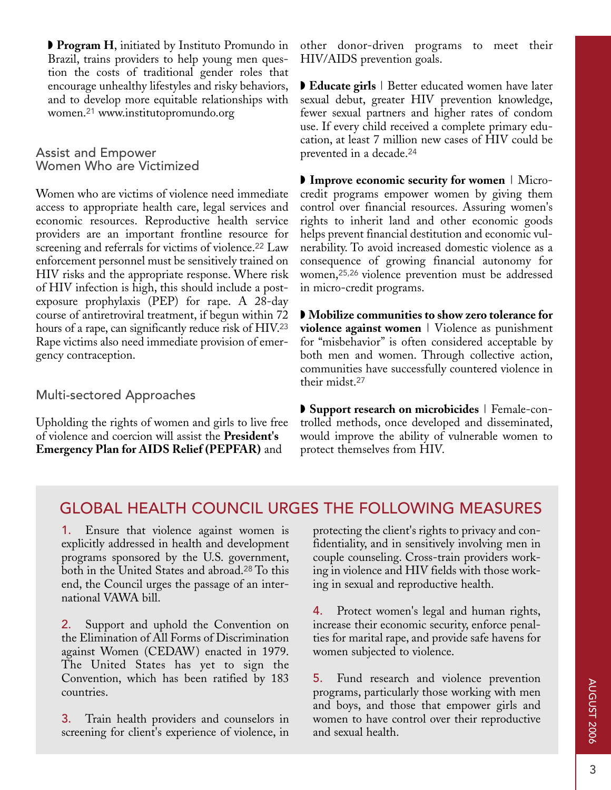◗ **Program H**, initiated by Instituto Promundo in Brazil, trains providers to help young men question the costs of traditional gender roles that encourage unhealthy lifestyles and risky behaviors, and to develop more equitable relationships with women.<sup>21</sup> www.institutopromundo.org

Assist and Empower Women Who are Victimized

Women who are victims of violence need immediate access to appropriate health care, legal services and economic resources. Reproductive health service providers are an important frontline resource for screening and referrals for victims of violence.<sup>22</sup> Law enforcement personnel must be sensitively trained on HIV risks and the appropriate response. Where risk of HIV infection is high, this should include a postexposure prophylaxis (PEP) for rape. A 28-day course of antiretroviral treatment, if begun within 72 hours of a rape, can significantly reduce risk of HIV.<sup>23</sup> Rape victims also need immediate provision of emergency contraception.

Multi-sectored Approaches

Upholding the rights of women and girls to live free of violence and coercion will assist the **President's Emergency Plan for AIDS Relief (PEPFAR)** and

other donor-driven programs to meet their HIV/AIDS prevention goals.

◗ **Educate girls** | Better educated women have later sexual debut, greater HIV prevention knowledge, fewer sexual partners and higher rates of condom use. If every child received a complete primary education, at least 7 million new cases of HIV could be prevented in a decade.<sup>24</sup>

◗ **Improve economic security for women** | Microcredit programs empower women by giving them control over financial resources. Assuring women's rights to inherit land and other economic goods helps prevent financial destitution and economic vulnerability. To avoid increased domestic violence as a consequence of growing financial autonomy for women,25,26 violence prevention must be addressed in micro-credit programs.

◗ **Mobilize communities to show zero tolerance for violence against women** | Violence as punishment for "misbehavior" is often considered acceptable by both men and women. Through collective action, communities have successfully countered violence in their midst.<sup>27</sup>

◗ **Support research on microbicides** | Female-controlled methods, once developed and disseminated, would improve the ability of vulnerable women to protect themselves from HIV.

## GLOBAL HEALTH COUNCIL URGES THE FOLLOWING MEASURES

Ensure that violence against women is explicitly addressed in health and development programs sponsored by the U.S. government, both in the United States and abroad.<sup>28</sup>To this end, the Council urges the passage of an international VAWA bill.

2. Support and uphold the Convention on the Elimination of All Forms of Discrimination against Women (CEDAW) enacted in 1979. The United States has yet to sign the Convention, which has been ratified by 183 countries.

3. Train health providers and counselors in screening for client's experience of violence, in

protecting the client's rights to privacy and confidentiality, and in sensitively involving men in couple counseling. Cross-train providers working in violence and HIV fields with those working in sexual and reproductive health.

4. Protect women's legal and human rights, increase their economic security, enforce penalties for marital rape, and provide safe havens for women subjected to violence.

5. Fund research and violence prevention programs, particularly those working with men and boys, and those that empower girls and women to have control over their reproductive and sexual health.